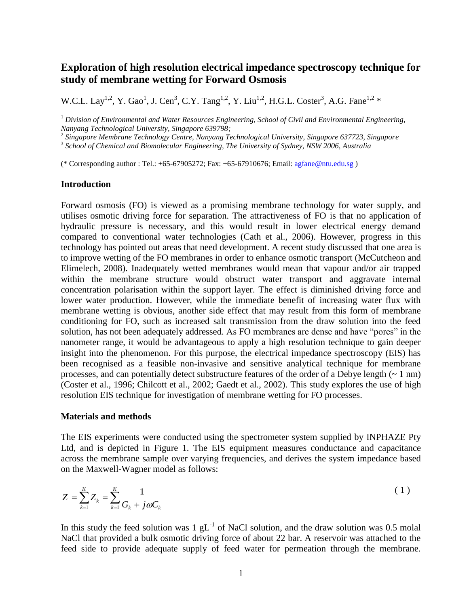# **Exploration of high resolution electrical impedance spectroscopy technique for study of membrane wetting for Forward Osmosis**

W.C.L. Lay<sup>1,2</sup>, Y. Gao<sup>1</sup>, J. Cen<sup>3</sup>, C.Y. Tang<sup>1,2</sup>, Y. Liu<sup>1,2</sup>, H.G.L. Coster<sup>3</sup>, A.G. Fane<sup>1,2</sup> \*

<sup>1</sup> Division of Environmental and Water Resources Engineering, School of Civil and Environmental Engineering, *Nanyang Technological University, Singapore 639798;*

2 *Singapore Membrane Technology Centre, Nanyang Technological University, Singapore 637723, Singapore*

3 *School of Chemical and Biomolecular Engineering, The University of Sydney, NSW 2006, Australia*

(\* Corresponding author : Tel.: +65-67905272; Fax: +65-67910676; Email: [agfane@ntu.edu.sg](mailto:agfane@ntu.edu.sg) )

## **Introduction**

Forward osmosis (FO) is viewed as a promising membrane technology for water supply, and utilises osmotic driving force for separation. The attractiveness of FO is that no application of hydraulic pressure is necessary, and this would result in lower electrical energy demand compared to conventional water technologies (Cath et al., 2006). However, progress in this technology has pointed out areas that need development. A recent study discussed that one area is to improve wetting of the FO membranes in order to enhance osmotic transport (McCutcheon and Elimelech, 2008). Inadequately wetted membranes would mean that vapour and/or air trapped within the membrane structure would obstruct water transport and aggravate internal concentration polarisation within the support layer. The effect is diminished driving force and lower water production. However, while the immediate benefit of increasing water flux with membrane wetting is obvious, another side effect that may result from this form of membrane conditioning for FO, such as increased salt transmission from the draw solution into the feed solution, has not been adequately addressed. As FO membranes are dense and have "pores" in the nanometer range, it would be advantageous to apply a high resolution technique to gain deeper insight into the phenomenon. For this purpose, the electrical impedance spectroscopy (EIS) has been recognised as a feasible non-invasive and sensitive analytical technique for membrane processes, and can potentially detect substructure features of the order of a Debye length  $(-1 \text{ nm})$ (Coster et al., 1996; Chilcott et al., 2002; Gaedt et al., 2002). This study explores the use of high resolution EIS technique for investigation of membrane wetting for FO processes.

## **Materials and methods**

The EIS experiments were conducted using the spectrometer system supplied by INPHAZE Pty Ltd, and is depicted in [Figure 1.](#page-1-0) The EIS equipment measures conductance and capacitance across the membrane sample over varying frequencies, and derives the system impedance based on the Maxwell-Wagner model as follows:

$$
Z = \sum_{k=1}^{K} Z_k = \sum_{k=1}^{K} \frac{1}{G_k + j\omega C_k}
$$
 (1)

In this study the feed solution was 1  $gL^{-1}$  of NaCl solution, and the draw solution was 0.5 molal NaCl that provided a bulk osmotic driving force of about 22 bar. A reservoir was attached to the feed side to provide adequate supply of feed water for permeation through the membrane.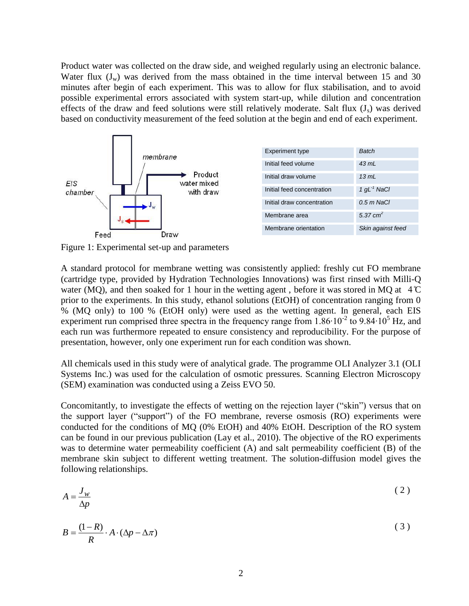Product water was collected on the draw side, and weighed regularly using an electronic balance. Water flux  $(J_w)$  was derived from the mass obtained in the time interval between 15 and 30 minutes after begin of each experiment. This was to allow for flux stabilisation, and to avoid possible experimental errors associated with system start-up, while dilution and concentration effects of the draw and feed solutions were still relatively moderate. Salt flux  $(J_s)$  was derived based on conductivity measurement of the feed solution at the begin and end of each experiment.



<span id="page-1-0"></span>Figure 1: Experimental set-up and parameters

A standard protocol for membrane wetting was consistently applied: freshly cut FO membrane (cartridge type, provided by Hydration Technologies Innovations) was first rinsed with Milli-Q water (MQ), and then soaked for 1 hour in the wetting agent, before it was stored in MQ at  $4^{\circ}$ C prior to the experiments. In this study, ethanol solutions (EtOH) of concentration ranging from 0 % (MQ only) to 100 % (EtOH only) were used as the wetting agent. In general, each EIS experiment run comprised three spectra in the frequency range from  $1.86 \cdot 10^{-2}$  to  $9.84 \cdot 10^{5}$  Hz, and each run was furthermore repeated to ensure consistency and reproducibility. For the purpose of presentation, however, only one experiment run for each condition was shown.

All chemicals used in this study were of analytical grade. The programme OLI Analyzer 3.1 (OLI Systems Inc.) was used for the calculation of osmotic pressures. Scanning Electron Microscopy (SEM) examination was conducted using a Zeiss EVO 50.

Concomitantly, to investigate the effects of wetting on the rejection layer ("skin") versus that on the support layer ("support") of the FO membrane, reverse osmosis (RO) experiments were conducted for the conditions of MQ (0% EtOH) and 40% EtOH. Description of the RO system can be found in our previous publication (Lay et al., 2010). The objective of the RO experiments was to determine water permeability coefficient (A) and salt permeability coefficient (B) of the membrane skin subject to different wetting treatment. The solution-diffusion model gives the following relationships.

$$
A = \frac{J_w}{\Delta p} \tag{2}
$$

$$
B = \frac{(1 - R)}{R} \cdot A \cdot (\Delta p - \Delta \pi)
$$
 (3)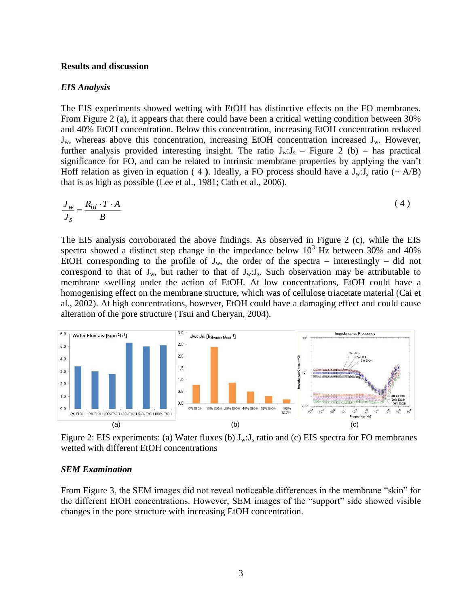## **Results and discussion**

## *EIS Analysis*

The EIS experiments showed wetting with EtOH has distinctive effects on the FO membranes. From [Figure 2](#page-2-0) (a), it appears that there could have been a critical wetting condition between 30% and 40% EtOH concentration. Below this concentration, increasing EtOH concentration reduced  $J_w$ , whereas above this concentration, increasing EtOH concentration increased  $J_w$ . However, further analysis provided interesting insight. The ratio  $J_w: J_s$  – [Figure 2](#page-2-0) (b) – has practical significance for FO, and can be related to intrinsic membrane properties by applying the van't Hoff relation as given in equation ([4](#page-2-1)). Ideally, a FO process should have a  $J_w: J_s$  ratio ( $\sim A/B$ ) that is as high as possible (Lee et al., 1981; Cath et al., 2006).

<span id="page-2-1"></span>
$$
\frac{J_w}{J_s} = \frac{R_{id} \cdot T \cdot A}{B} \tag{4}
$$

The EIS analysis corroborated the above findings. As observed in [Figure 2](#page-2-0) (c), while the EIS spectra showed a distinct step change in the impedance below  $10<sup>3</sup>$  Hz between 30% and 40% EtOH corresponding to the profile of  $J_w$ , the order of the spectra – interestingly – did not correspond to that of  $J_w$ , but rather to that of  $J_w: J_s$ . Such observation may be attributable to membrane swelling under the action of EtOH. At low concentrations, EtOH could have a homogenising effect on the membrane structure, which was of cellulose triacetate material (Cai et al., 2002). At high concentrations, however, EtOH could have a damaging effect and could cause alteration of the pore structure (Tsui and Cheryan, 2004).



<span id="page-2-0"></span>Figure 2: EIS experiments: (a) Water fluxes (b)  $J_w: J_s$  ratio and (c) EIS spectra for FO membranes wetted with different EtOH concentrations

## *SEM Examination*

From [Figure 3,](#page-3-0) the SEM images did not reveal noticeable differences in the membrane "skin" for the different EtOH concentrations. However, SEM images of the "support" side showed visible changes in the pore structure with increasing EtOH concentration.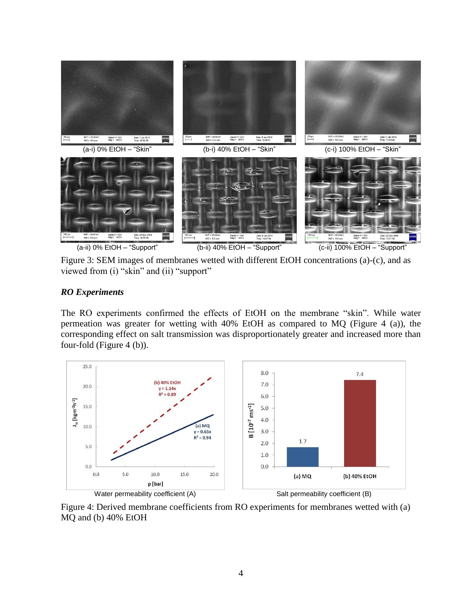

Figure 3: SEM images of membranes wetted with different EtOH concentrations (a)-(c), and as viewed from (i) "skin" and (ii) "support"

## <span id="page-3-0"></span>*RO Experiments*

The RO experiments confirmed the effects of EtOH on the membrane "skin". While water permeation was greater for wetting with 40% EtOH as compared to MQ [\(Figure 4](#page-3-1) (a)), the corresponding effect on salt transmission was disproportionately greater and increased more than four-fold [\(Figure 4](#page-3-1) (b)).



<span id="page-3-1"></span>Figure 4: Derived membrane coefficients from RO experiments for membranes wetted with (a) MQ and (b) 40% EtOH